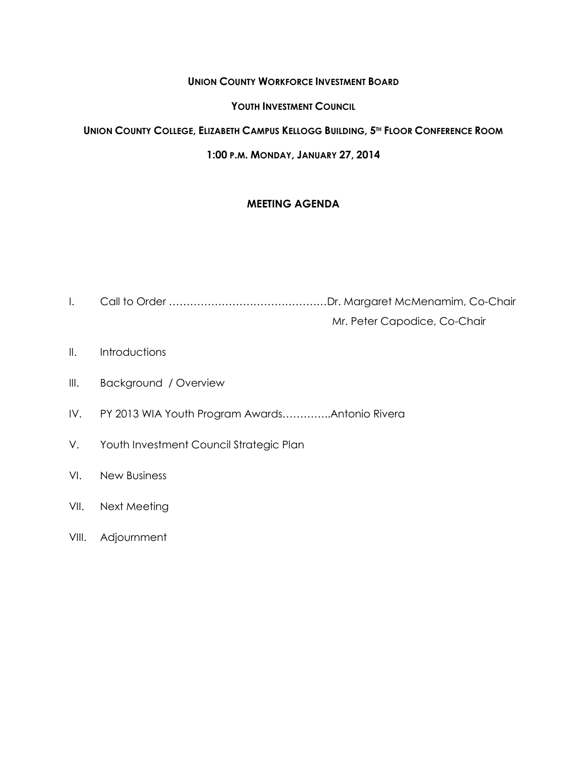# **UNION COUNTY WORKFORCE INVESTMENT BOARD**

## **YOUTH INVESTMENT COUNCIL**

# UNION COUNTY COLLEGE, ELIZABETH CAMPUS KELLOGG BUILDING, 5<sup>TH</sup> FLOOR CONFERENCE ROOM

# **1:00 P.M. MONDAY, JANUARY 27, 2014**

# **MEETING AGENDA**

- I. Call to Order ………………………………………Dr. Margaret McMenamim, Co-Chair Mr. Peter Capodice, Co-Chair
- II. Introductions
- III. Background / Overview
- IV. PY 2013 WIA Youth Program Awards…………..Antonio Rivera
- V. Youth Investment Council Strategic Plan
- VI. New Business
- VII. Next Meeting
- VIII. Adjournment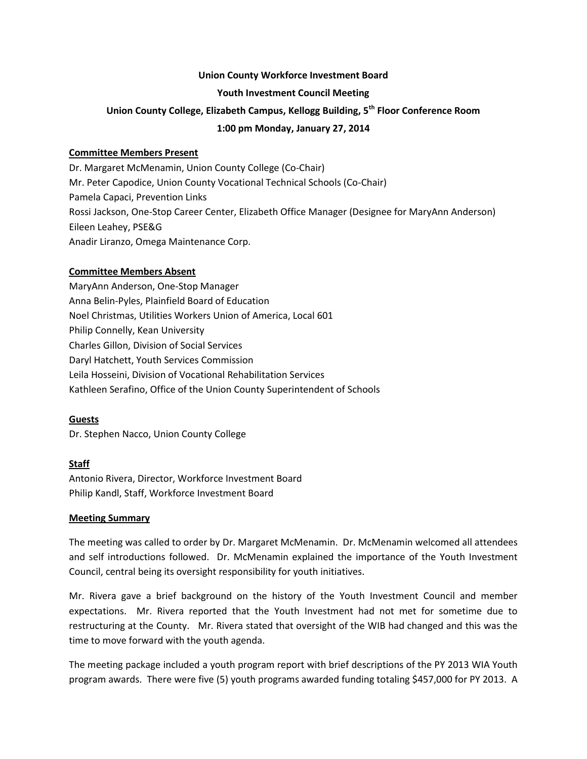#### **Union County Workforce Investment Board**

#### **Youth Investment Council Meeting**

# **Union County College, Elizabeth Campus, Kellogg Building, 5th Floor Conference Room**

#### **1:00 pm Monday, January 27, 2014**

#### **Committee Members Present**

Dr. Margaret McMenamin, Union County College (Co-Chair) Mr. Peter Capodice, Union County Vocational Technical Schools (Co-Chair) Pamela Capaci, Prevention Links Rossi Jackson, One-Stop Career Center, Elizabeth Office Manager (Designee for MaryAnn Anderson) Eileen Leahey, PSE&G Anadir Liranzo, Omega Maintenance Corp.

### **Committee Members Absent**

MaryAnn Anderson, One-Stop Manager Anna Belin-Pyles, Plainfield Board of Education Noel Christmas, Utilities Workers Union of America, Local 601 Philip Connelly, Kean University Charles Gillon, Division of Social Services Daryl Hatchett, Youth Services Commission Leila Hosseini, Division of Vocational Rehabilitation Services Kathleen Serafino, Office of the Union County Superintendent of Schools

### **Guests**

Dr. Stephen Nacco, Union County College

### **Staff**

Antonio Rivera, Director, Workforce Investment Board Philip Kandl, Staff, Workforce Investment Board

#### **Meeting Summary**

The meeting was called to order by Dr. Margaret McMenamin. Dr. McMenamin welcomed all attendees and self introductions followed. Dr. McMenamin explained the importance of the Youth Investment Council, central being its oversight responsibility for youth initiatives.

Mr. Rivera gave a brief background on the history of the Youth Investment Council and member expectations. Mr. Rivera reported that the Youth Investment had not met for sometime due to restructuring at the County. Mr. Rivera stated that oversight of the WIB had changed and this was the time to move forward with the youth agenda.

The meeting package included a youth program report with brief descriptions of the PY 2013 WIA Youth program awards. There were five (5) youth programs awarded funding totaling \$457,000 for PY 2013. A